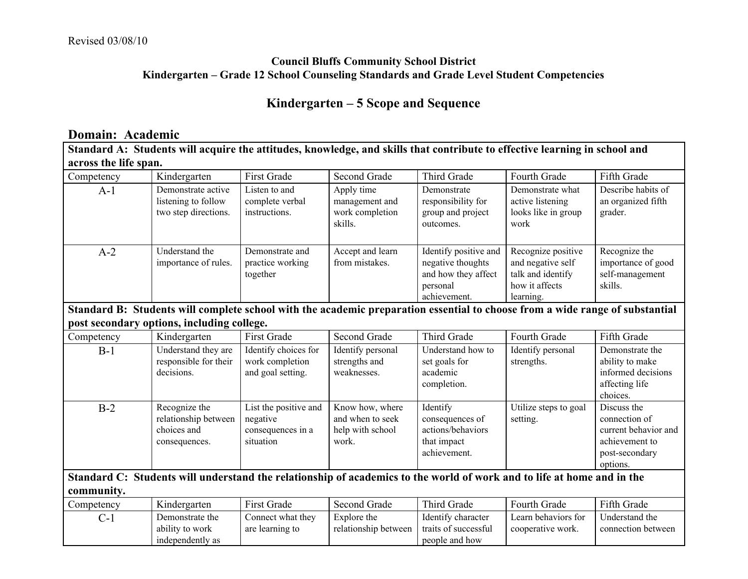## **Council Bluffs Community School District Kindergarten – Grade 12 School Counseling Standards and Grade Level Student Competencies**

## **Kindergarten – 5 Scope and Sequence**

#### **Domain: Academic**

Standard A: Students will acquire the attitudes, knowledge, and skills that contribute to effective learning in school and **across the life span.**

| Competency | Kindergarten                                                      | First Grade                                       | Second Grade                                               | Third Grade                                                                                   | Fourth Grade                                                                                | Fifth Grade                                                       |
|------------|-------------------------------------------------------------------|---------------------------------------------------|------------------------------------------------------------|-----------------------------------------------------------------------------------------------|---------------------------------------------------------------------------------------------|-------------------------------------------------------------------|
| $A-1$      | Demonstrate active<br>listening to follow<br>two step directions. | Listen to and<br>complete verbal<br>instructions. | Apply time<br>management and<br>work completion<br>skills. | Demonstrate<br>responsibility for<br>group and project<br>outcomes.                           | Demonstrate what<br>active listening<br>looks like in group<br>work                         | Describe habits of<br>an organized fifth<br>grader.               |
| $A-2$      | Understand the<br>importance of rules.                            | Demonstrate and<br>practice working<br>together   | Accept and learn<br>from mistakes.                         | Identify positive and<br>negative thoughts<br>and how they affect<br>personal<br>achievement. | Recognize positive<br>and negative self<br>talk and identify<br>how it affects<br>learning. | Recognize the<br>importance of good<br>self-management<br>skills. |

#### Standard B: Students will complete school with the academic preparation essential to choose from a wide range of substantial **post secondary options, including college.**

|            | $\sim$                                                                |                                                                     |                                                                  |                                                                                 |                                   |                                                                                                      |
|------------|-----------------------------------------------------------------------|---------------------------------------------------------------------|------------------------------------------------------------------|---------------------------------------------------------------------------------|-----------------------------------|------------------------------------------------------------------------------------------------------|
| Competency | Kindergarten                                                          | First Grade                                                         | Second Grade                                                     | Third Grade                                                                     | Fourth Grade                      | Fifth Grade                                                                                          |
| $B-1$      | Understand they are<br>responsible for their<br>decisions.            | Identify choices for<br>work completion<br>and goal setting.        | Identify personal<br>strengths and<br>weaknesses.                | Understand how to<br>set goals for<br>academic<br>completion.                   | Identify personal<br>strengths.   | Demonstrate the<br>ability to make<br>informed decisions<br>affecting life<br>choices.               |
| $B-2$      | Recognize the<br>relationship between<br>choices and<br>consequences. | List the positive and<br>negative<br>consequences in a<br>situation | Know how, where<br>and when to seek<br>help with school<br>work. | Identify<br>consequences of<br>actions/behaviors<br>that impact<br>achievement. | Utilize steps to goal<br>setting. | Discuss the<br>connection of<br>current behavior and<br>achievement to<br>post-secondary<br>options. |

Standard C: Students will understand the relationship of academics to the world of work and to life at home and in the **community.**

| Competency | Kindergarten     | <b>First Grade</b> | <b>Second Grade</b>  | Third Grade          | Fourth Grade        | Fifth Grade        |
|------------|------------------|--------------------|----------------------|----------------------|---------------------|--------------------|
| $\sim$     | Demonstrate the  | Connect what they  | Explore the          | Identify character   | Learn behaviors for | Understand the     |
|            | ability to work  | are learning to    | relationship between | traits of successful | cooperative work.   | connection between |
|            | independently as |                    |                      | people and how       |                     |                    |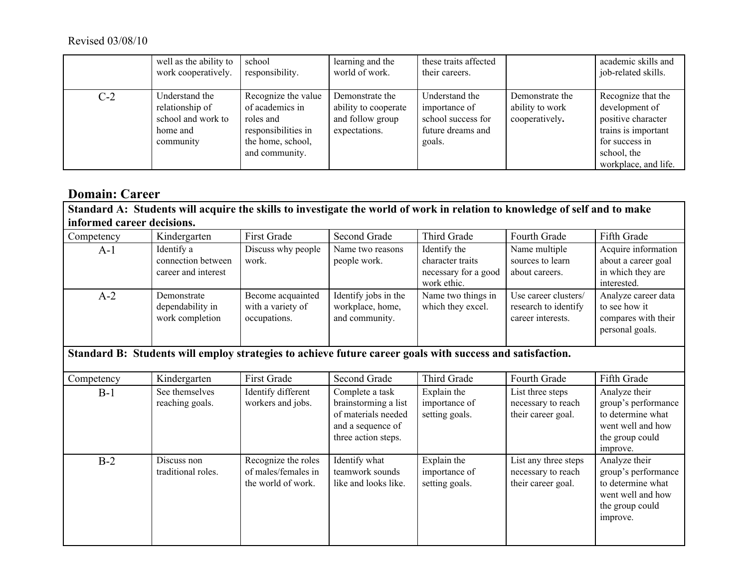#### Revised 03/08/10

|       | well as the ability to<br>work cooperatively.                                    | school<br>responsibility.                                                                                         | learning and the<br>world of work.                                           | these traits affected<br>their careers.                                              |                                                      | academic skills and<br>job-related skills.                                                                                                 |
|-------|----------------------------------------------------------------------------------|-------------------------------------------------------------------------------------------------------------------|------------------------------------------------------------------------------|--------------------------------------------------------------------------------------|------------------------------------------------------|--------------------------------------------------------------------------------------------------------------------------------------------|
| $C-2$ | Understand the<br>relationship of<br>school and work to<br>home and<br>community | Recognize the value<br>of academics in<br>roles and<br>responsibilities in<br>the home, school,<br>and community. | Demonstrate the<br>ability to cooperate<br>and follow group<br>expectations. | Understand the<br>importance of<br>school success for<br>future dreams and<br>goals. | Demonstrate the<br>ability to work<br>cooperatively. | Recognize that the<br>development of<br>positive character<br>trains is important<br>for success in<br>school, the<br>workplace, and life. |

## **Domain: Career**

Standard A: Students will acquire the skills to investigate the world of work in relation to knowledge of self and to make **informed career decisions.**

| Competency | Kindergarten                                            | <b>First Grade</b>                                     | Second Grade                                               | Third Grade                                                             | Fourth Grade                                                      | Fifth Grade                                                                    |
|------------|---------------------------------------------------------|--------------------------------------------------------|------------------------------------------------------------|-------------------------------------------------------------------------|-------------------------------------------------------------------|--------------------------------------------------------------------------------|
| A-1        | Identify a<br>connection between<br>career and interest | Discuss why people<br>work.                            | Name two reasons<br>people work.                           | Identify the<br>character traits<br>necessary for a good<br>work ethic. | Name multiple<br>sources to learn<br>about careers.               | Acquire information<br>about a career goal<br>in which they are<br>interested. |
| $A-2$      | Demonstrate<br>dependability in<br>work completion      | Become acquainted<br>with a variety of<br>occupations. | Identify jobs in the<br>workplace, home,<br>and community. | Name two things in<br>which they excel.                                 | Use career clusters/<br>research to identify<br>career interests. | Analyze career data<br>to see how it<br>compares with their<br>personal goals. |

# **Standard B: Students will employ strategies to achieve future career goals with success and satisfaction.**

| Competency | Kindergarten                      | <b>First Grade</b>                                               | Second Grade                                                                                               | Third Grade                                    | Fourth Grade                                                     | Fifth Grade                                                                                                   |
|------------|-----------------------------------|------------------------------------------------------------------|------------------------------------------------------------------------------------------------------------|------------------------------------------------|------------------------------------------------------------------|---------------------------------------------------------------------------------------------------------------|
| $B-1$      | See themselves<br>reaching goals. | Identify different<br>workers and jobs.                          | Complete a task<br>brainstorming a list<br>of materials needed<br>and a sequence of<br>three action steps. | Explain the<br>importance of<br>setting goals. | List three steps<br>necessary to reach<br>their career goal.     | Analyze their<br>group's performance<br>to determine what<br>went well and how<br>the group could<br>improve. |
| $B-2$      | Discuss non<br>traditional roles. | Recognize the roles<br>of males/females in<br>the world of work. | Identify what<br>teamwork sounds<br>like and looks like.                                                   | Explain the<br>importance of<br>setting goals. | List any three steps<br>necessary to reach<br>their career goal. | Analyze their<br>group's performance<br>to determine what<br>went well and how<br>the group could<br>improve. |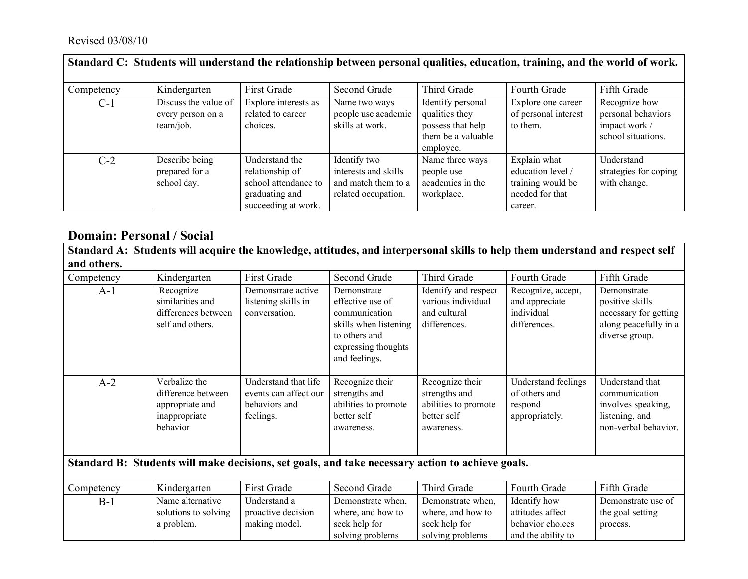### Revised 03/08/10

| Standard C: Students will understand the relationship between personal qualities, education, training, and the world of work. |                                                        |                                                                                                    |                                                                                    |                                                                                             |                                                                                      |                                                                            |  |
|-------------------------------------------------------------------------------------------------------------------------------|--------------------------------------------------------|----------------------------------------------------------------------------------------------------|------------------------------------------------------------------------------------|---------------------------------------------------------------------------------------------|--------------------------------------------------------------------------------------|----------------------------------------------------------------------------|--|
| Competency                                                                                                                    | Kindergarten                                           | First Grade                                                                                        | Second Grade                                                                       | Third Grade                                                                                 | Fourth Grade                                                                         | Fifth Grade                                                                |  |
| $C-1$                                                                                                                         | Discuss the value of<br>every person on a<br>team/job. | Explore interests as<br>related to career<br>choices.                                              | Name two ways<br>people use academic<br>skills at work.                            | Identify personal<br>qualities they<br>possess that help<br>them be a valuable<br>employee. | Explore one career<br>of personal interest<br>to them.                               | Recognize how<br>personal behaviors<br>impact work /<br>school situations. |  |
| $C-2$                                                                                                                         | Describe being<br>prepared for a<br>school day.        | Understand the<br>relationship of<br>school attendance to<br>graduating and<br>succeeding at work. | Identify two<br>interests and skills<br>and match them to a<br>related occupation. | Name three ways<br>people use<br>academics in the<br>workplace.                             | Explain what<br>education level /<br>training would be<br>needed for that<br>career. | Understand<br>strategies for coping<br>with change.                        |  |

## **Domain: Personal / Social**

Standard A: Students will acquire the knowledge, attitudes, and interpersonal skills to help them understand and respect self **and others.**

| Competency                                                                                       | Kindergarten                                                                        | <b>First Grade</b>                                                          | Second Grade                                                                                                                       | Third Grade                                                                           | Fourth Grade                                                               | Fifth Grade                                                                                        |  |
|--------------------------------------------------------------------------------------------------|-------------------------------------------------------------------------------------|-----------------------------------------------------------------------------|------------------------------------------------------------------------------------------------------------------------------------|---------------------------------------------------------------------------------------|----------------------------------------------------------------------------|----------------------------------------------------------------------------------------------------|--|
| $A-1$                                                                                            | Recognize<br>similarities and<br>differences between<br>self and others.            | Demonstrate active<br>listening skills in<br>conversation.                  | Demonstrate<br>effective use of<br>communication<br>skills when listening<br>to others and<br>expressing thoughts<br>and feelings. | Identify and respect<br>various individual<br>and cultural<br>differences.            | Recognize, accept,<br>and appreciate<br>individual<br>differences.         | Demonstrate<br>positive skills<br>necessary for getting<br>along peacefully in a<br>diverse group. |  |
| $A-2$                                                                                            | Verbalize the<br>difference between<br>appropriate and<br>inappropriate<br>behavior | Understand that life<br>events can affect our<br>behaviors and<br>feelings. | Recognize their<br>strengths and<br>abilities to promote<br>better self<br>awareness.                                              | Recognize their<br>strengths and<br>abilities to promote<br>better self<br>awareness. | <b>Understand feelings</b><br>of others and<br>respond<br>appropriately.   | Understand that<br>communication<br>involves speaking,<br>listening, and<br>non-verbal behavior.   |  |
| Standard B: Students will make decisions, set goals, and take necessary action to achieve goals. |                                                                                     |                                                                             |                                                                                                                                    |                                                                                       |                                                                            |                                                                                                    |  |
| Competency                                                                                       | Kindergarten                                                                        | <b>First Grade</b>                                                          | Second Grade                                                                                                                       | Third Grade                                                                           | Fourth Grade                                                               | Fifth Grade                                                                                        |  |
| $B-1$                                                                                            | Name alternative<br>solutions to solving<br>a problem.                              | Understand a<br>proactive decision<br>making model.                         | Demonstrate when,<br>where, and how to<br>seek help for<br>solving problems                                                        | Demonstrate when,<br>where, and how to<br>seek help for<br>solving problems           | Identify how<br>attitudes affect<br>behavior choices<br>and the ability to | Demonstrate use of<br>the goal setting<br>process.                                                 |  |